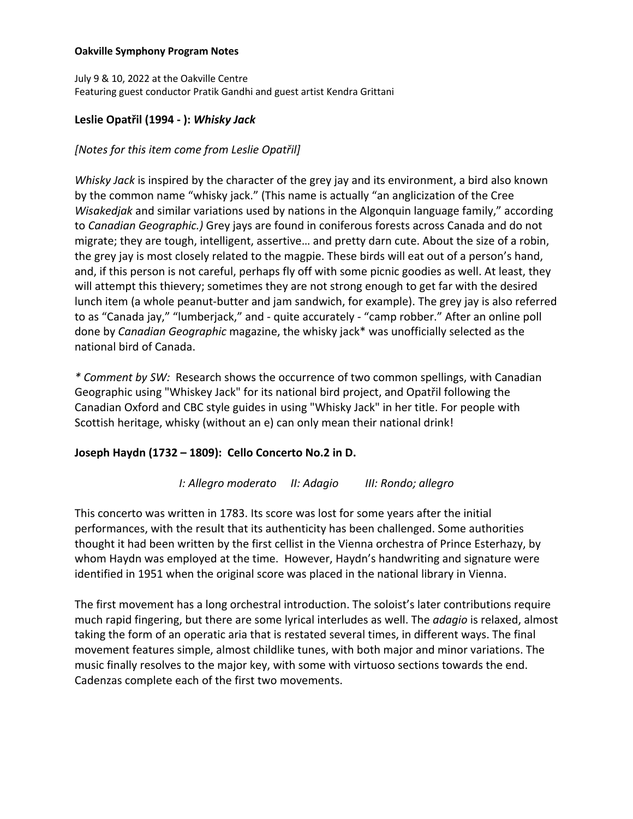#### **Oakville Symphony Program Notes**

July 9 & 10, 2022 at the Oakville Centre Featuring guest conductor Pratik Gandhi and guest artist Kendra Grittani

# **Leslie Opatřil (1994 - ):** *Whisky Jack*

## *[Notes for this item come from Leslie Opatřil]*

*Whisky Jack* is inspired by the character of the grey jay and its environment, a bird also known by the common name "whisky jack." (This name is actually "an anglicization of the Cree *Wisakedjak* and similar variations used by nations in the Algonquin language family," according to *Canadian Geographic.)* Grey jays are found in coniferous forests across Canada and do not migrate; they are tough, intelligent, assertive… and pretty darn cute. About the size of a robin, the grey jay is most closely related to the magpie. These birds will eat out of a person's hand, and, if this person is not careful, perhaps fly off with some picnic goodies as well. At least, they will attempt this thievery; sometimes they are not strong enough to get far with the desired lunch item (a whole peanut-butter and jam sandwich, for example). The grey jay is also referred to as "Canada jay," "lumberjack," and - quite accurately - "camp robber." After an online poll done by *Canadian Geographic* magazine, the whisky jack\* was unofficially selected as the national bird of Canada.

*\* Comment by SW:* Research shows the occurrence of two common spellings, with Canadian Geographic using "Whiskey Jack" for its national bird project, and Opatřil following the Canadian Oxford and CBC style guides in using "Whisky Jack" in her title. For people with Scottish heritage, whisky (without an e) can only mean their national drink!

# **Joseph Haydn (1732 – 1809): Cello Concerto No.2 in D.**

*I: Allegro moderato II: Adagio III: Rondo; allegro*

This concerto was written in 1783. Its score was lost for some years after the initial performances, with the result that its authenticity has been challenged. Some authorities thought it had been written by the first cellist in the Vienna orchestra of Prince Esterhazy, by whom Haydn was employed at the time. However, Haydn's handwriting and signature were identified in 1951 when the original score was placed in the national library in Vienna.

The first movement has a long orchestral introduction. The soloist's later contributions require much rapid fingering, but there are some lyrical interludes as well. The *adagio* is relaxed, almost taking the form of an operatic aria that is restated several times, in different ways. The final movement features simple, almost childlike tunes, with both major and minor variations. The music finally resolves to the major key, with some with virtuoso sections towards the end. Cadenzas complete each of the first two movements.